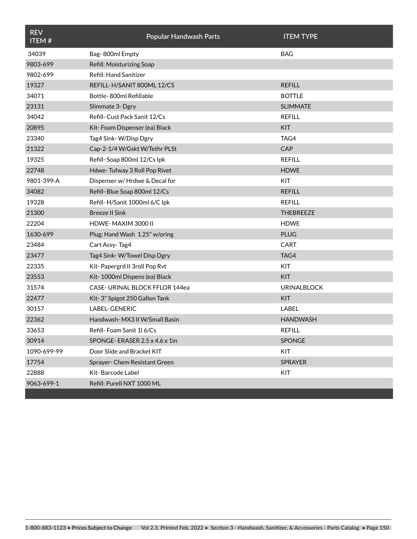| <b>REV</b><br><b>ITEM#</b> | Popular Handwash Parts               | <b>ITEM TYPE</b>   |
|----------------------------|--------------------------------------|--------------------|
| 34039                      | Bag-800ml Empty                      | <b>BAG</b>         |
| 9803-699                   | Refill: Moisturizing Soap            |                    |
| 9802-699                   | Refill: Hand Sanitizer               |                    |
| 19327                      | REFILL- H/SANIT 800ML 12/CS          | <b>REFILL</b>      |
| 34071                      | Bottle-800ml Refillable              | <b>BOTTLE</b>      |
| 23131                      | Slimmate 3- Dgry                     | <b>SLIMMATE</b>    |
| 34042                      | Refill- Cust Pack Sanit 12/Cs        | <b>REFILL</b>      |
| 20895                      | Kit-Foam Dispenser (ea) Black        | <b>KIT</b>         |
| 23340                      | Tag4 Sink-W/Disp Dgry                | TAG4               |
| 21322                      | Cap-2-1/4 W/Gskt W/Tethr PLSt        | <b>CAP</b>         |
| 19325                      | Refill-Soap 800ml 12/Cs lpk          | <b>REFILL</b>      |
| 22748                      | Hdwe-Tufway 3 Roll Pop Rivet         | <b>HDWE</b>        |
| 9801-399-A                 | Dispenser w/ Hrdwe & Decal for       | KIT                |
| 34082                      | Refill- Blue Soap 800ml 12/Cs        | <b>REFILL</b>      |
| 19328                      | Refill-H/Sanit 1000ml 6/C lpk        | <b>REFILL</b>      |
| 21300                      | <b>Breeze II Sink</b>                | <b>THEBREEZE</b>   |
| 22204                      | HDWE-MAXIM 3000 II                   | <b>HDWE</b>        |
| 1630-699                   | Plug: Hand Wash 1.25" w/oring        | <b>PLUG</b>        |
| 23484                      | Cart Assy-Tag4                       | <b>CART</b>        |
| 23477                      | Tag4 Sink-W/Towel Disp Dgry          | TAG4               |
| 22335                      | Kit-Papergrd II 3roll Pop Rvt        | KIT                |
| 23553                      | Kit-1000ml Dispens (ea) Black        | <b>KIT</b>         |
| 31574                      | <b>CASE-URINAL BLOCK FFLOR 144ea</b> | <b>URINALBLOCK</b> |
| 22477                      | Kit-3" Spigot 250 Gallon Tank        | <b>KIT</b>         |
| 30157                      | <b>LABEL- GENERIC</b>                | LABEL              |
| 22362                      | Handwash-MX3 II W/Small Basin        | <b>HANDWASH</b>    |
| 33653                      | Refill-Foam Sanit 116/Cs             | <b>REFILL</b>      |
| 30914                      | SPONGE-ERASER 2.5 x 4.6 x 1in        | SPONGE             |
| 1090-699-99                | Door Slide and Bracket KIT           | KIT                |
| 17754                      | Sprayer- Chem Resistant Green        | SPRAYER            |
| 22888                      | Kit-Barcode Label                    | KIT                |
| 9063-699-1                 | Refill: Purell NXT 1000 ML           |                    |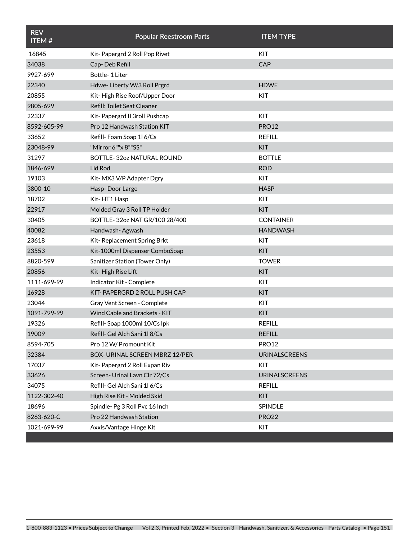| <b>REV</b><br>ITEM# | <b>Popular Reestroom Parts</b> | <b>ITEM TYPE</b>     |
|---------------------|--------------------------------|----------------------|
| 16845               | Kit-Papergrd 2 Roll Pop Rivet  | KIT                  |
| 34038               | Cap-Deb Refill                 | CAP                  |
| 9927-699            | Bottle-1 Liter                 |                      |
| 22340               | Hdwe-Liberty W/3 Roll Prgrd    | <b>HDWE</b>          |
| 20855               | Kit-High Rise Roof/Upper Door  | <b>KIT</b>           |
| 9805-699            | Refill: Toilet Seat Cleaner    |                      |
| 22337               | Kit-Papergrd II 3roll Pushcap  | KIT                  |
| 8592-605-99         | Pro 12 Handwash Station KIT    | <b>PRO12</b>         |
| 33652               | Refill-Foam Soap 1l 6/Cs       | <b>REFILL</b>        |
| 23048-99            | "Mirror 6""x 8""SS"            | <b>KIT</b>           |
| 31297               | BOTTLE-32oz NATURAL ROUND      | <b>BOTTLE</b>        |
| 1846-699            | Lid Rod                        | <b>ROD</b>           |
| 19103               | Kit-MX3 V/P Adapter Dgry       | <b>KIT</b>           |
| 3800-10             | Hasp-Door Large                | <b>HASP</b>          |
| 18702               | Kit-HT1 Hasp                   | <b>KIT</b>           |
| 22917               | Molded Gray 3 Roll TP Holder   | <b>KIT</b>           |
| 30405               | BOTTLE-32oz NAT GR/100 28/400  | <b>CONTAINER</b>     |
| 40082               | Handwash-Agwash                | <b>HANDWASH</b>      |
| 23618               | Kit-Replacement Spring Brkt    | KIT                  |
| 23553               | Kit-1000ml Dispenser ComboSoap | <b>KIT</b>           |
| 8820-599            | Sanitizer Station (Tower Only) | <b>TOWER</b>         |
| 20856               | Kit-High Rise Lift             | <b>KIT</b>           |
| 1111-699-99         | Indicator Kit - Complete       | KIT                  |
| 16928               | KIT-PAPERGRD 2 ROLL PUSH CAP   | <b>KIT</b>           |
| 23044               | Gray Vent Screen - Complete    | KIT                  |
| 1091-799-99         | Wind Cable and Brackets - KIT  | <b>KIT</b>           |
| 19326               | Refill-Soap 1000ml 10/Cs lpk   | <b>REFILL</b>        |
| 19009               | Refill- Gel Alch Sani 1l 8/Cs  | <b>REFILL</b>        |
| 8594-705            | Pro 12 W/ Promount Kit         | <b>PRO12</b>         |
| 32384               | BOX- URINAL SCREEN MBRZ 12/PER | <b>URINALSCREENS</b> |
| 17037               | Kit-Papergrd 2 Roll Expan Riv  | KIT                  |
| 33626               | Screen- Urinal Lavn Clr 72/Cs  | <b>URINALSCREENS</b> |
| 34075               | Refill- Gel Alch Sani 1l 6/Cs  | <b>REFILL</b>        |
| 1122-302-40         | High Rise Kit - Molded Skid    | <b>KIT</b>           |
| 18696               | Spindle- Pg 3 Roll Pvc 16 Inch | SPINDLE              |
| 8263-620-C          | Pro 22 Handwash Station        | <b>PRO22</b>         |
| 1021-699-99         | Axxis/Vantage Hinge Kit        | <b>KIT</b>           |